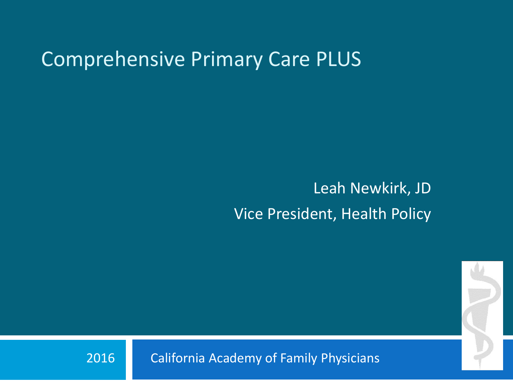#### Comprehensive Primary Care PLUS

Leah Newkirk, JD Vice President, Health Policy



2016 California Academy of Family Physicians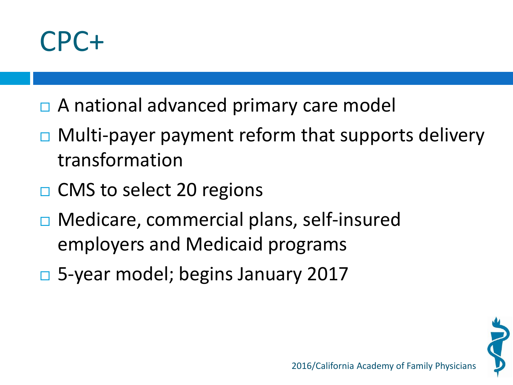

- □ A national advanced primary care model
- $\Box$  Multi-payer payment reform that supports delivery transformation
- $\Box$  CMS to select 20 regions
- Medicare, commercial plans, self-insured employers and Medicaid programs
- 5-year model; begins January 2017

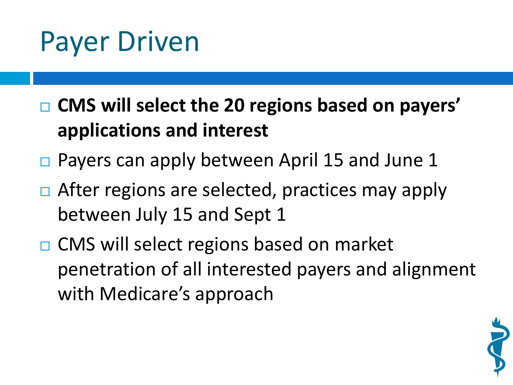#### Payer Driven

 **CMS will select the 20 regions based on payers' applications and interest**

- $\Box$  Payers can apply between April 15 and June 1
- $\Box$  After regions are selected, practices may apply between July 15 and Sept 1
- □ CMS will select regions based on market penetration of all interested payers and alignment with Medicare's approach

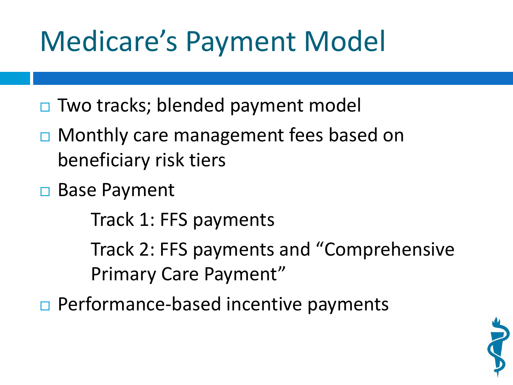## Medicare's Payment Model

- $\Box$  Two tracks; blended payment model
- □ Monthly care management fees based on beneficiary risk tiers
- □ Base Payment

Track 1: FFS payments

Track 2: FFS payments and "Comprehensive Primary Care Payment"

 $\Box$  Performance-based incentive payments

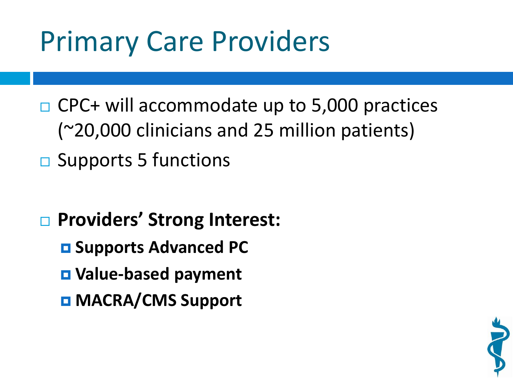## Primary Care Providers

- $\Box$  CPC+ will accommodate up to 5,000 practices (~20,000 clinicians and 25 million patients)
- $\square$  Supports 5 functions
- **Providers' Strong Interest:**
	- **E** Supports Advanced PC
	- **Value-based payment**
	- **MACRA/CMS Support**

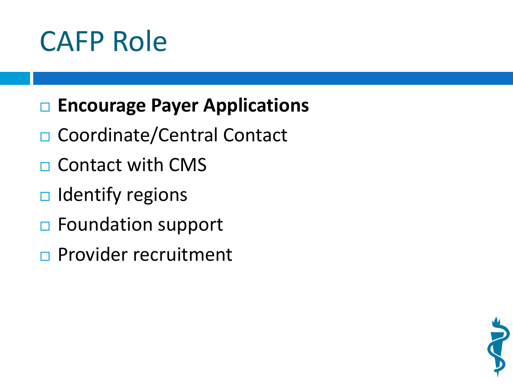### CAFP Role

#### **□ Encourage Payer Applications**

- □ Coordinate/Central Contact
- $\Box$  Contact with CMS
- $\Box$  Identify regions
- □ Foundation support
- **Provider recruitment**